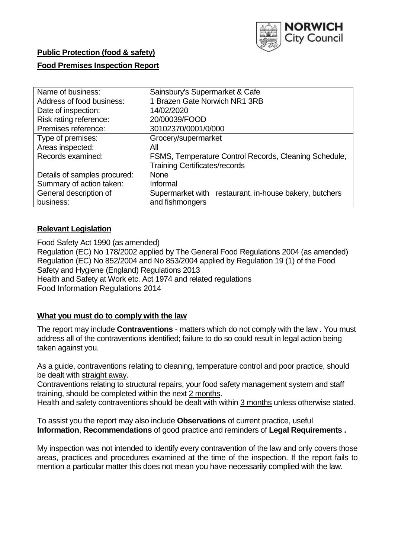

# **Public Protection (food & safety)**

## **Food Premises Inspection Report**

| Name of business:            | Sainsbury's Supermarket & Cafe                         |  |  |  |  |  |  |
|------------------------------|--------------------------------------------------------|--|--|--|--|--|--|
| Address of food business:    | 1 Brazen Gate Norwich NR1 3RB                          |  |  |  |  |  |  |
| Date of inspection:          | 14/02/2020                                             |  |  |  |  |  |  |
| Risk rating reference:       | 20/00039/FOOD                                          |  |  |  |  |  |  |
| Premises reference:          | 30102370/0001/0/000                                    |  |  |  |  |  |  |
| Type of premises:            | Grocery/supermarket                                    |  |  |  |  |  |  |
| Areas inspected:             | All                                                    |  |  |  |  |  |  |
| Records examined:            | FSMS, Temperature Control Records, Cleaning Schedule,  |  |  |  |  |  |  |
|                              | <b>Training Certificates/records</b>                   |  |  |  |  |  |  |
| Details of samples procured: | <b>None</b>                                            |  |  |  |  |  |  |
| Summary of action taken:     | Informal                                               |  |  |  |  |  |  |
| General description of       | Supermarket with restaurant, in-house bakery, butchers |  |  |  |  |  |  |
| business:                    | and fishmongers                                        |  |  |  |  |  |  |

## **Relevant Legislation**

Food Safety Act 1990 (as amended) Regulation (EC) No 178/2002 applied by The General Food Regulations 2004 (as amended) Regulation (EC) No 852/2004 and No 853/2004 applied by Regulation 19 (1) of the Food Safety and Hygiene (England) Regulations 2013 Health and Safety at Work etc. Act 1974 and related regulations Food Information Regulations 2014

## **What you must do to comply with the law**

The report may include **Contraventions** - matters which do not comply with the law . You must address all of the contraventions identified; failure to do so could result in legal action being taken against you.

As a guide, contraventions relating to cleaning, temperature control and poor practice, should be dealt with straight away.

Contraventions relating to structural repairs, your food safety management system and staff training, should be completed within the next 2 months.

Health and safety contraventions should be dealt with within 3 months unless otherwise stated.

To assist you the report may also include **Observations** of current practice, useful **Information**, **Recommendations** of good practice and reminders of **Legal Requirements .**

My inspection was not intended to identify every contravention of the law and only covers those areas, practices and procedures examined at the time of the inspection. If the report fails to mention a particular matter this does not mean you have necessarily complied with the law.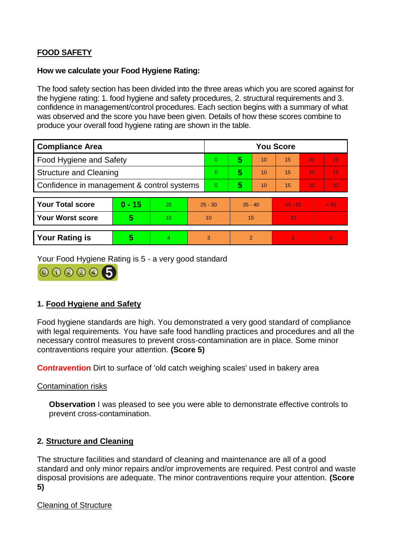## **FOOD SAFETY**

## **How we calculate your Food Hygiene Rating:**

The food safety section has been divided into the three areas which you are scored against for the hygiene rating: 1. food hygiene and safety procedures, 2. structural requirements and 3. confidence in management/control procedures. Each section begins with a summary of what was observed and the score you have been given. Details of how these scores combine to produce your overall food hygiene rating are shown in the table.

| <b>Compliance Area</b>                     |          |                  |           | <b>You Score</b> |                |    |           |    |                |  |  |
|--------------------------------------------|----------|------------------|-----------|------------------|----------------|----|-----------|----|----------------|--|--|
| Food Hygiene and Safety                    |          |                  |           | 0                | 5              | 10 | 15        | 20 | 25             |  |  |
| <b>Structure and Cleaning</b>              |          |                  | $\Omega$  | 5                | 10             | 15 | 20        | 25 |                |  |  |
| Confidence in management & control systems |          |                  | $\Omega$  | 5                | 10             | 15 | 20        | 30 |                |  |  |
|                                            |          |                  |           |                  |                |    |           |    |                |  |  |
| <b>Your Total score</b>                    | $0 - 15$ | 20               | $25 - 30$ |                  | $35 - 40$      |    | $45 - 50$ |    | > 50           |  |  |
| <b>Your Worst score</b>                    | 5        | 10 <sup>10</sup> | 10        |                  | 15             |    | 20        |    | $\blacksquare$ |  |  |
|                                            |          |                  |           |                  |                |    |           |    |                |  |  |
| <b>Your Rating is</b>                      | 5        | $\overline{4}$   | 3         |                  | $\overline{2}$ |    |           |    | $\overline{0}$ |  |  |

Your Food Hygiene Rating is 5 - a very good standard



## **1. Food Hygiene and Safety**

Food hygiene standards are high. You demonstrated a very good standard of compliance with legal requirements. You have safe food handling practices and procedures and all the necessary control measures to prevent cross-contamination are in place. Some minor contraventions require your attention. **(Score 5)**

**Contravention** Dirt to surface of 'old catch weighing scales' used in bakery area

Contamination risks

**Observation** I was pleased to see you were able to demonstrate effective controls to prevent cross-contamination.

## **2. Structure and Cleaning**

The structure facilities and standard of cleaning and maintenance are all of a good standard and only minor repairs and/or improvements are required. Pest control and waste disposal provisions are adequate. The minor contraventions require your attention. **(Score 5)**

## Cleaning of Structure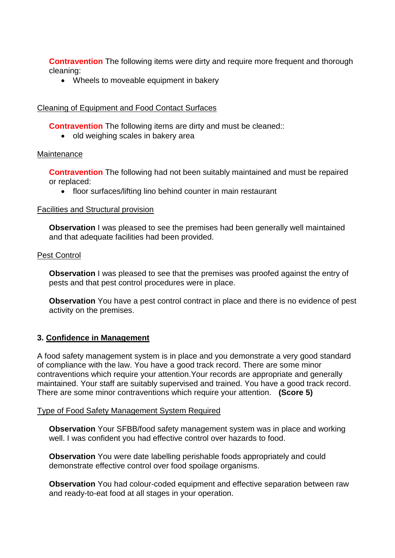**Contravention** The following items were dirty and require more frequent and thorough cleaning:

• Wheels to moveable equipment in bakery

## Cleaning of Equipment and Food Contact Surfaces

**Contravention** The following items are dirty and must be cleaned::

• old weighing scales in bakery area

#### **Maintenance**

**Contravention** The following had not been suitably maintained and must be repaired or replaced:

• floor surfaces/lifting lino behind counter in main restaurant

#### Facilities and Structural provision

**Observation** I was pleased to see the premises had been generally well maintained and that adequate facilities had been provided.

#### Pest Control

**Observation** I was pleased to see that the premises was proofed against the entry of pests and that pest control procedures were in place.

**Observation** You have a pest control contract in place and there is no evidence of pest activity on the premises.

## **3. Confidence in Management**

A food safety management system is in place and you demonstrate a very good standard of compliance with the law. You have a good track record. There are some minor contraventions which require your attention.Your records are appropriate and generally maintained. Your staff are suitably supervised and trained. You have a good track record. There are some minor contraventions which require your attention. **(Score 5)**

#### Type of Food Safety Management System Required

**Observation** Your SFBB/food safety management system was in place and working well. I was confident you had effective control over hazards to food.

**Observation** You were date labelling perishable foods appropriately and could demonstrate effective control over food spoilage organisms.

**Observation** You had colour-coded equipment and effective separation between raw and ready-to-eat food at all stages in your operation.